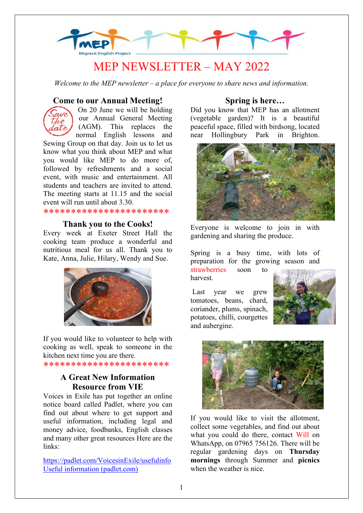

# MEP NEWSLETTER – MAY 2022

*Welcome to the MEP newsletter – a place for everyone to share news and information.*

#### **Come to our Annual Meeting!**



On 20 June we will be holding our Annual General Meeting (AGM). This replaces the normal English lessons and

Sewing Group on that day. Join us to let us know what you think about MEP and what you would like MEP to do more of, followed by refreshments and a social event, with music and entertainment. All students and teachers are invited to attend. The meeting starts at 11.15 and the social event will run until about 3.30.

\*\*\*\*\*\*\*\*\*\*\*\*\*\*\*\*\*\*\*\*\*\*

#### **Thank you to the Cooks!**

Every week at Exeter Street Hall the cooking team produce a wonderful and nutritious meal for us all. Thank you to Kate, Anna, Julie, Hilary, Wendy and Sue.



If you would like to volunteer to help with cooking as well, speak to someone in the kitchen next time you are there.

\*\*\*\*\*\*\*\*\*\*\*\*\*\*\*\*\*\*\*\*\*\*\*

## **A Great New Information Resource from VIE**

Voices in Exile has put together an online notice board called Padlet, where you can find out about where to get support and useful information, including legal and money advice, foodbanks, English classes and many other great resources Here are the links:

<https://padlet.com/VoicesinExile/usefulinfo> [Useful information \(padlet.com\)](https://padlet.com/Voicesinexile/usefulinfo)

#### **Spring is here…**

Did you know that MEP has an allotment (vegetable garden)? It is a beautiful peaceful space, filled with birdsong, located near Hollingbury Park in Brighton.



Everyone is welcome to join in with gardening and sharing the produce.

Spring is a busy time, with lots of preparation for the growing season and strawberries soon to harvest.

Last year we grew tomatoes, beans, chard, coriander, plums, spinach, potatoes, chilli, courgettes and aubergine.





If you would like to visit the allotment, collect some vegetables, and find out about what you could do there, contact Will on WhatsApp, on 07965 756126. There will be regular gardening days on **Thursday mornings** through Summer and **picnics** when the weather is nice.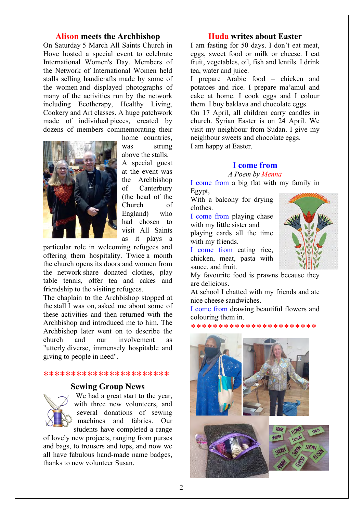#### **Alison meets the Archbishop**

On Saturday 5 March All Saints Church in Hove hosted a special event to celebrate International Women's Day. Members of the Network of International Women held stalls selling handicrafts made by some of the women and displayed photographs of many of the activities run by the network including Ecotherapy, Healthy Living, Cookery and Art classes. A huge patchwork made of individual pieces, created by dozens of members commemorating their



home countries, was strung

above the stalls. A special guest at the event was the Archbishop of Canterbury (the head of the Church of England) who had chosen to visit All Saints as it plays a

particular role in welcoming refugees and offering them hospitality. Twice a month the church opens its doors and women from the network share donated clothes, play table tennis, offer tea and cakes and friendship to the visiting refugees.

The chaplain to the Archbishop stopped at the stall I was on, asked me about some of these activities and then returned with the Archbishop and introduced me to him. The Archbishop later went on to describe the church and our involvement as "utterly diverse, immensely hospitable and giving to people in need".

#### \*\*\*\*\*\*\*\*\*\*\*\*\*\*\*\*\*\*\*\*\*\*\*

#### **Sewing Group News**



We had a great start to the year, with three new volunteers, and several donations of sewing machines and fabrics. Our students have completed a range

of lovely new projects, ranging from purses and bags, to trousers and tops, and now we all have fabulous hand-made name badges, thanks to new volunteer Susan.

### **Huda writes about Easter**

I am fasting for 50 days. I don't eat meat, eggs, sweet food or milk or cheese. I eat fruit, vegetables, oil, fish and lentils. I drink tea, water and juice.

I prepare Arabic food – chicken and potatoes and rice. I prepare ma'amul and cake at home. I cook eggs and I colour them. I buy baklava and chocolate eggs.

On 17 April, all children carry candles in church. Syrian Easter is on 24 April. We visit my neighbour from Sudan. I give my neighbour sweets and chocolate eggs. I am happy at Easter.

**I come from**

#### *A Poem by Menna*

I come from a big flat with my family in Egypt,

With a balcony for drying clothes.

I come from playing chase with my little sister and playing cards all the time with my friends.

I come from eating rice, chicken, meat, pasta with sauce, and fruit.



My favourite food is prawns because they are delicious.

At school I chatted with my friends and ate nice cheese sandwiches.

I come from drawing beautiful flowers and colouring them in.

\*\*\*\*\*\*\*\*\*\*\*\*\*\*\*\*\*\*\*\*\*\*\*

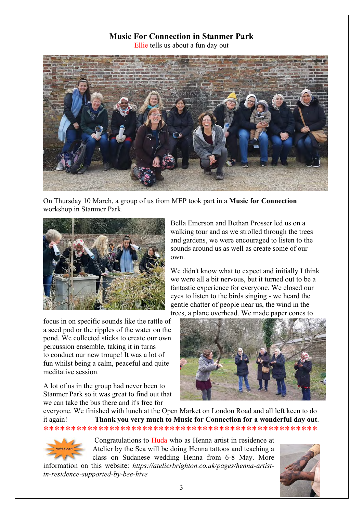# **Music For Connection in Stanmer Park**

Ellie tells us about a fun day out



On Thursday 10 March, a group of us from MEP took part in a **Music for Connection** workshop in Stanmer Park.



focus in on specific sounds like the rattle of a seed pod or the ripples of the water on the pond. We collected sticks to create our own percussion ensemble, taking it in turns to conduct our new troupe! It was a lot of fun whilst being a calm, peaceful and quite meditative session.

A lot of us in the group had never been to Stanmer Park so it was great to find out that we can take the bus there and it's free for

Bella Emerson and Bethan Prosser led us on a walking tour and as we strolled through the trees and gardens, we were encouraged to listen to the sounds around us as well as create some of our own.

We didn't know what to expect and initially I think we were all a bit nervous, but it turned out to be a fantastic experience for everyone. We closed our eyes to listen to the birds singing - we heard the gentle chatter of people near us, the wind in the trees, a plane overhead. We made paper cones to



everyone. We finished with lunch at the Open Market on London Road and all left keen to do it again! **Thank you very much to Music for Connection for a wonderful day out**. \*\*\*\*\*\*\*\*\*\*\*\*\*\*\*\*\*\*\*\*\*\*\*\*\*\*\*\*\*\*\*\*\*\*\*\*\*\*\*\*\*\*\*\*\*\*\*\*\*\*



Congratulations to Huda who as Henna artist in residence at Atelier by the Sea will be doing Henna tattoos and teaching a class on Sudanese wedding Henna from 6-8 May. More

information on this website: *https://atelierbrighton.co.uk/pages/henna-artistin-residence-supported-by-bee-hive*